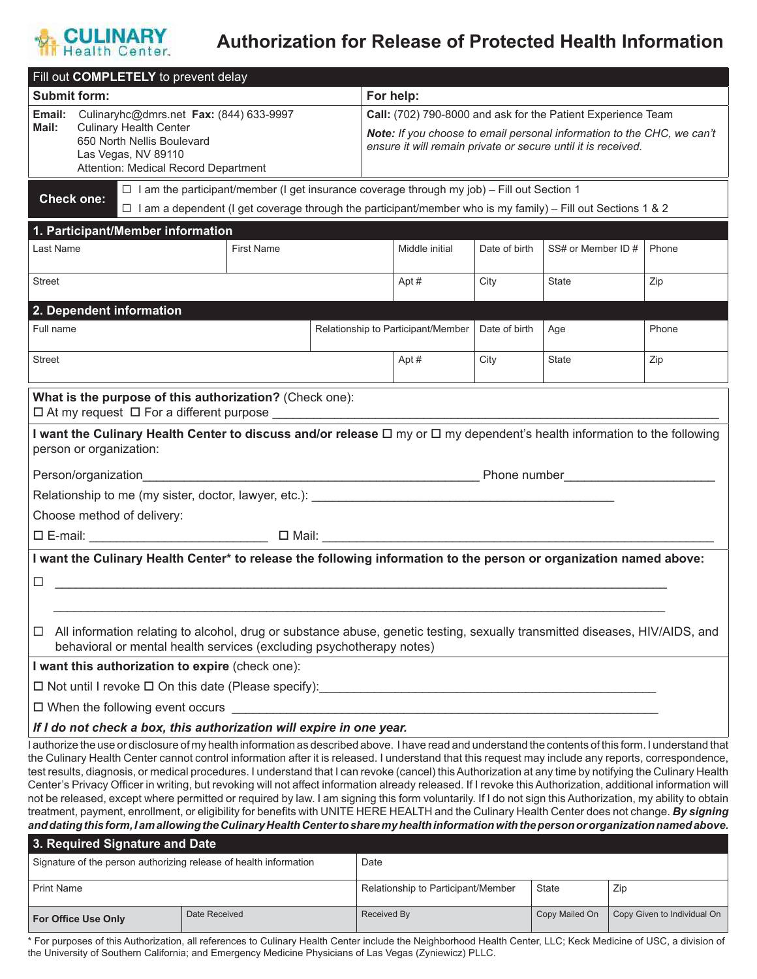

## **Authorization for Release of Protected Health Information**

| Fill out COMPLETELY to prevent delay                                                                                                                                                                                                                                                                                                                                                                                                                                                                                                                                                                                                                                                                                                                                                                                                                                                                                                                                                                                                                                                                |                                                                                                                    |             |                                                                                                                                         |               |                    |                             |  |  |
|-----------------------------------------------------------------------------------------------------------------------------------------------------------------------------------------------------------------------------------------------------------------------------------------------------------------------------------------------------------------------------------------------------------------------------------------------------------------------------------------------------------------------------------------------------------------------------------------------------------------------------------------------------------------------------------------------------------------------------------------------------------------------------------------------------------------------------------------------------------------------------------------------------------------------------------------------------------------------------------------------------------------------------------------------------------------------------------------------------|--------------------------------------------------------------------------------------------------------------------|-------------|-----------------------------------------------------------------------------------------------------------------------------------------|---------------|--------------------|-----------------------------|--|--|
| <b>Submit form:</b>                                                                                                                                                                                                                                                                                                                                                                                                                                                                                                                                                                                                                                                                                                                                                                                                                                                                                                                                                                                                                                                                                 |                                                                                                                    |             | For help:                                                                                                                               |               |                    |                             |  |  |
| Culinaryhc@dmrs.net Fax: (844) 633-9997<br>Email:<br>Mail:<br><b>Culinary Health Center</b><br>650 North Nellis Boulevard<br>Las Vegas, NV 89110<br>Attention: Medical Record Department                                                                                                                                                                                                                                                                                                                                                                                                                                                                                                                                                                                                                                                                                                                                                                                                                                                                                                            |                                                                                                                    |             | Call: (702) 790-8000 and ask for the Patient Experience Team                                                                            |               |                    |                             |  |  |
|                                                                                                                                                                                                                                                                                                                                                                                                                                                                                                                                                                                                                                                                                                                                                                                                                                                                                                                                                                                                                                                                                                     |                                                                                                                    |             | Note: If you choose to email personal information to the CHC, we can't<br>ensure it will remain private or secure until it is received. |               |                    |                             |  |  |
|                                                                                                                                                                                                                                                                                                                                                                                                                                                                                                                                                                                                                                                                                                                                                                                                                                                                                                                                                                                                                                                                                                     | $\Box$ I am the participant/member (I get insurance coverage through my job) – Fill out Section 1                  |             |                                                                                                                                         |               |                    |                             |  |  |
| <b>Check one:</b>                                                                                                                                                                                                                                                                                                                                                                                                                                                                                                                                                                                                                                                                                                                                                                                                                                                                                                                                                                                                                                                                                   | $\Box$ I am a dependent (I get coverage through the participant/member who is my family) – Fill out Sections 1 & 2 |             |                                                                                                                                         |               |                    |                             |  |  |
| 1. Participant/Member information                                                                                                                                                                                                                                                                                                                                                                                                                                                                                                                                                                                                                                                                                                                                                                                                                                                                                                                                                                                                                                                                   |                                                                                                                    |             |                                                                                                                                         |               |                    |                             |  |  |
| Last Name                                                                                                                                                                                                                                                                                                                                                                                                                                                                                                                                                                                                                                                                                                                                                                                                                                                                                                                                                                                                                                                                                           | <b>First Name</b>                                                                                                  |             | Middle initial                                                                                                                          | Date of birth | SS# or Member ID # | Phone                       |  |  |
| <b>Street</b>                                                                                                                                                                                                                                                                                                                                                                                                                                                                                                                                                                                                                                                                                                                                                                                                                                                                                                                                                                                                                                                                                       |                                                                                                                    |             | Apt#                                                                                                                                    | City          | <b>State</b>       | Zip                         |  |  |
| 2. Dependent information                                                                                                                                                                                                                                                                                                                                                                                                                                                                                                                                                                                                                                                                                                                                                                                                                                                                                                                                                                                                                                                                            |                                                                                                                    |             |                                                                                                                                         |               |                    |                             |  |  |
| Full name                                                                                                                                                                                                                                                                                                                                                                                                                                                                                                                                                                                                                                                                                                                                                                                                                                                                                                                                                                                                                                                                                           |                                                                                                                    |             | Relationship to Participant/Member                                                                                                      | Date of birth | Age                | Phone                       |  |  |
| Street                                                                                                                                                                                                                                                                                                                                                                                                                                                                                                                                                                                                                                                                                                                                                                                                                                                                                                                                                                                                                                                                                              |                                                                                                                    |             | Apt#                                                                                                                                    | City          | State              | Zip                         |  |  |
| What is the purpose of this authorization? (Check one):                                                                                                                                                                                                                                                                                                                                                                                                                                                                                                                                                                                                                                                                                                                                                                                                                                                                                                                                                                                                                                             |                                                                                                                    |             |                                                                                                                                         |               |                    |                             |  |  |
| I want the Culinary Health Center to discuss and/or release $\Box$ my or $\Box$ my dependent's health information to the following<br>person or organization:                                                                                                                                                                                                                                                                                                                                                                                                                                                                                                                                                                                                                                                                                                                                                                                                                                                                                                                                       |                                                                                                                    |             |                                                                                                                                         |               |                    |                             |  |  |
| Person/organization                                                                                                                                                                                                                                                                                                                                                                                                                                                                                                                                                                                                                                                                                                                                                                                                                                                                                                                                                                                                                                                                                 |                                                                                                                    |             |                                                                                                                                         |               |                    |                             |  |  |
|                                                                                                                                                                                                                                                                                                                                                                                                                                                                                                                                                                                                                                                                                                                                                                                                                                                                                                                                                                                                                                                                                                     |                                                                                                                    |             |                                                                                                                                         |               |                    |                             |  |  |
| Choose method of delivery:                                                                                                                                                                                                                                                                                                                                                                                                                                                                                                                                                                                                                                                                                                                                                                                                                                                                                                                                                                                                                                                                          |                                                                                                                    |             |                                                                                                                                         |               |                    |                             |  |  |
|                                                                                                                                                                                                                                                                                                                                                                                                                                                                                                                                                                                                                                                                                                                                                                                                                                                                                                                                                                                                                                                                                                     |                                                                                                                    |             |                                                                                                                                         |               |                    |                             |  |  |
|                                                                                                                                                                                                                                                                                                                                                                                                                                                                                                                                                                                                                                                                                                                                                                                                                                                                                                                                                                                                                                                                                                     |                                                                                                                    |             |                                                                                                                                         |               |                    |                             |  |  |
| I want the Culinary Health Center* to release the following information to the person or organization named above:<br>$\Box$                                                                                                                                                                                                                                                                                                                                                                                                                                                                                                                                                                                                                                                                                                                                                                                                                                                                                                                                                                        |                                                                                                                    |             |                                                                                                                                         |               |                    |                             |  |  |
| <u>and the contract of the contract of the contract of the contract of the contract of the contract of the contract of the contract of the contract of the contract of the contract of the contract of the contract of the contr</u>                                                                                                                                                                                                                                                                                                                                                                                                                                                                                                                                                                                                                                                                                                                                                                                                                                                                |                                                                                                                    |             |                                                                                                                                         |               |                    |                             |  |  |
| All information relating to alcohol, drug or substance abuse, genetic testing, sexually transmitted diseases, HIV/AIDS, and<br>ш.<br>behavioral or mental health services (excluding psychotherapy notes)                                                                                                                                                                                                                                                                                                                                                                                                                                                                                                                                                                                                                                                                                                                                                                                                                                                                                           |                                                                                                                    |             |                                                                                                                                         |               |                    |                             |  |  |
| I want this authorization to expire (check one):                                                                                                                                                                                                                                                                                                                                                                                                                                                                                                                                                                                                                                                                                                                                                                                                                                                                                                                                                                                                                                                    |                                                                                                                    |             |                                                                                                                                         |               |                    |                             |  |  |
| $\Box$ Not until I revoke $\Box$ On this date (Please specify):                                                                                                                                                                                                                                                                                                                                                                                                                                                                                                                                                                                                                                                                                                                                                                                                                                                                                                                                                                                                                                     |                                                                                                                    |             |                                                                                                                                         |               |                    |                             |  |  |
| $\Box$ When the following event occurs                                                                                                                                                                                                                                                                                                                                                                                                                                                                                                                                                                                                                                                                                                                                                                                                                                                                                                                                                                                                                                                              |                                                                                                                    |             |                                                                                                                                         |               |                    |                             |  |  |
| If I do not check a box, this authorization will expire in one year.                                                                                                                                                                                                                                                                                                                                                                                                                                                                                                                                                                                                                                                                                                                                                                                                                                                                                                                                                                                                                                |                                                                                                                    |             |                                                                                                                                         |               |                    |                             |  |  |
| I authorize the use or disclosure of my health information as described above. I have read and understand the contents of this form. I understand that<br>the Culinary Health Center cannot control information after it is released. I understand that this request may include any reports, correspondence,<br>test results, diagnosis, or medical procedures. I understand that I can revoke (cancel) this Authorization at any time by notifying the Culinary Health<br>Center's Privacy Officer in writing, but revoking will not affect information already released. If I revoke this Authorization, additional information will<br>not be released, except where permitted or required by law. I am signing this form voluntarily. If I do not sign this Authorization, my ability to obtain<br>treatment, payment, enrollment, or eligibility for benefits with UNITE HERE HEALTH and the Culinary Health Center does not change. By signing<br>and dating this form, I am allowing the Culinary Health Center to share my health information with the person or organization named above. |                                                                                                                    |             |                                                                                                                                         |               |                    |                             |  |  |
| 3. Required Signature and Date                                                                                                                                                                                                                                                                                                                                                                                                                                                                                                                                                                                                                                                                                                                                                                                                                                                                                                                                                                                                                                                                      |                                                                                                                    |             |                                                                                                                                         |               |                    |                             |  |  |
| Signature of the person authorizing release of health information                                                                                                                                                                                                                                                                                                                                                                                                                                                                                                                                                                                                                                                                                                                                                                                                                                                                                                                                                                                                                                   |                                                                                                                    |             | Date                                                                                                                                    |               |                    |                             |  |  |
| <b>Print Name</b>                                                                                                                                                                                                                                                                                                                                                                                                                                                                                                                                                                                                                                                                                                                                                                                                                                                                                                                                                                                                                                                                                   |                                                                                                                    |             | Relationship to Participant/Member                                                                                                      |               | State              | Zip                         |  |  |
| <b>For Office Use Only</b>                                                                                                                                                                                                                                                                                                                                                                                                                                                                                                                                                                                                                                                                                                                                                                                                                                                                                                                                                                                                                                                                          | Date Received                                                                                                      | Received By |                                                                                                                                         |               | Copy Mailed On     | Copy Given to Individual On |  |  |

\* For purposes of this Authorization, all references to Culinary Health Center include the Neighborhood Health Center, LLC; Keck Medicine of USC, a division of the University of Southern California; and Emergency Medicine Physicians of Las Vegas (Zyniewicz) PLLC.